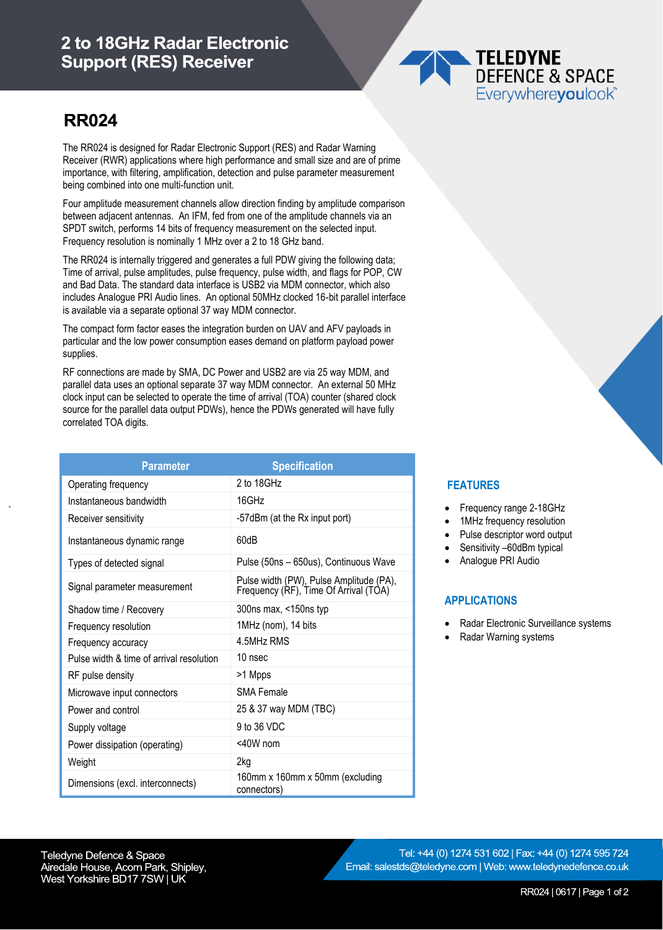## 2 to 18GHz Radar Electronic **Support (RES) Receiver**

## **TELEDYNE DEFENCE & SPACE** Everywhereyoulook

# **RR024**

`

The RR024 is designed for Radar Electronic Support (RES) and Radar Warning Receiver (RWR) applications where high performance and small size and are of prime importance, with filtering, amplification, detection and pulse parameter measurement being combined into one multi-function unit.

Four amplitude measurement channels allow direction finding by amplitude comparison between adjacent antennas. An IFM, fed from one of the amplitude channels via an SPDT switch, performs 14 bits of frequency measurement on the selected input. Frequency resolution is nominally 1 MHz over a 2 to 18 GHz band.

The RR024 is internally triggered and generates a full PDW giving the following data; Time of arrival, pulse amplitudes, pulse frequency, pulse width, and flags for POP, CW and Bad Data. The standard data interface is USB2 via MDM connector, which also includes Analogue PRI Audio lines. An optional 50MHz clocked 16-bit parallel interface is available via a separate optional 37 way MDM connector.

The compact form factor eases the integration burden on UAV and AFV payloads in particular and the low power consumption eases demand on platform payload power supplies.

RF connections are made by SMA, DC Power and USB2 are via 25 way MDM, and parallel data uses an optional separate 37 way MDM connector. An external 50 MHz clock input can be selected to operate the time of arrival (TOA) counter (shared clock source for the parallel data output PDWs), hence the PDWs generated will have fully correlated TOA digits.

| <b>Parameter</b>                         | <b>Specification</b>                                                             |
|------------------------------------------|----------------------------------------------------------------------------------|
| Operating frequency                      | $2$ to 18GHz                                                                     |
| Instantaneous bandwidth                  | 16GHz                                                                            |
| Receiver sensitivity                     | -57dBm (at the Rx input port)                                                    |
| Instantaneous dynamic range              | 60dB                                                                             |
| Types of detected signal                 | Pulse (50ns - 650us), Continuous Wave                                            |
| Signal parameter measurement             | Pulse width (PW), Pulse Amplitude (PA),<br>Frequency (RF), Time Of Arrival (TOA) |
| Shadow time / Recovery                   | 300ns max, <150ns typ                                                            |
| Frequency resolution                     | 1MHz (nom), 14 bits                                                              |
| Frequency accuracy                       | 4.5MHz RMS                                                                       |
| Pulse width & time of arrival resolution | 10 nsec                                                                          |
| RF pulse density                         | >1 Mpps                                                                          |
| Microwave input connectors               | <b>SMA Female</b>                                                                |
| Power and control                        | 25 & 37 way MDM (TBC)                                                            |
| Supply voltage                           | 9 to 36 VDC                                                                      |
| Power dissipation (operating)            | $<$ 40W nom                                                                      |
| Weight                                   | 2kg                                                                              |
| Dimensions (excl. interconnects)         | 160mm x 160mm x 50mm (excluding<br>connectors)                                   |

### **FEATURES**

- Frequency range 2-18GHz
- 1MHz frequency resolution
- Pulse descriptor word output
- Sensitivity –60dBm typical
- Analogue PRI Audio

#### **APPLICATIONS**

- Radar Electronic Surveillance systems
- Radar Warning systems